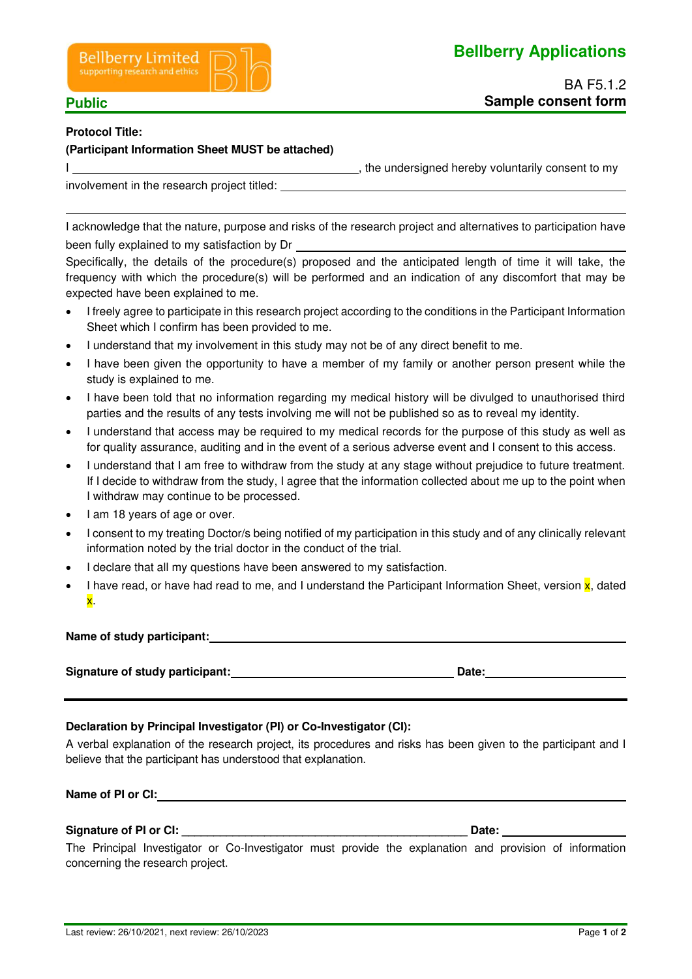



 $\overline{a}$ 

### **Protocol Title:**

# **(Participant Information Sheet MUST be attached)**

I  $\frac{1}{2}$  , the undersigned hereby voluntarily consent to my

involvement in the research project titled:

I acknowledge that the nature, purpose and risks of the research project and alternatives to participation have been fully explained to my satisfaction by Dr

Specifically, the details of the procedure(s) proposed and the anticipated length of time it will take, the frequency with which the procedure(s) will be performed and an indication of any discomfort that may be expected have been explained to me.

- I freely agree to participate in this research project according to the conditions in the Participant Information Sheet which I confirm has been provided to me.
- I understand that my involvement in this study may not be of any direct benefit to me.
- I have been given the opportunity to have a member of my family or another person present while the study is explained to me.
- I have been told that no information regarding my medical history will be divulged to unauthorised third parties and the results of any tests involving me will not be published so as to reveal my identity.
- I understand that access may be required to my medical records for the purpose of this study as well as for quality assurance, auditing and in the event of a serious adverse event and I consent to this access.
- I understand that I am free to withdraw from the study at any stage without prejudice to future treatment. If I decide to withdraw from the study, I agree that the information collected about me up to the point when I withdraw may continue to be processed.
- I am 18 years of age or over.
- I consent to my treating Doctor/s being notified of my participation in this study and of any clinically relevant information noted by the trial doctor in the conduct of the trial.
- I declare that all my questions have been answered to my satisfaction.
- I have read, or have had read to me, and I understand the Participant Information Sheet, version x, dated x.

**Name of study participant:** 

**Signature of study participant: Date: Date: Date: Date: Date: Date: Date: Date: Date: Date: Date: Date: Date: Date: Date: Date: Date: Date: Date: Date: Date: Date: Date: Dat** 

# **Declaration by Principal Investigator (PI) or Co-Investigator (CI):**

A verbal explanation of the research project, its procedures and risks has been given to the participant and I believe that the participant has understood that explanation.

**Name of PI or CI:** 

**Signature of PI or CI:**  $\blacksquare$ 

The Principal Investigator or Co-Investigator must provide the explanation and provision of information concerning the research project.